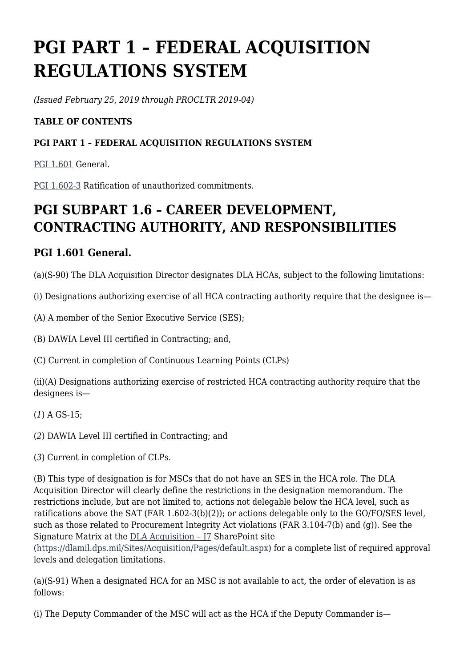# **PGI PART 1 – FEDERAL ACQUISITION REGULATIONS SYSTEM**

*(Issued February 25, 2019 through PROCLTR 2019-04)*

## **TABLE OF CONTENTS**

## **PGI PART 1 – FEDERAL ACQUISITION REGULATIONS SYSTEM**

[PGI 1.601](#page--1-0) General.

[PGI 1.602-3](#page--1-0) Ratification of unauthorized commitments.

## **PGI SUBPART 1.6 – CAREER DEVELOPMENT, CONTRACTING AUTHORITY, AND RESPONSIBILITIES**

## **PGI 1.601 General.**

(a)(S-90) The DLA Acquisition Director designates DLA HCAs, subject to the following limitations:

(i) Designations authorizing exercise of all HCA contracting authority require that the designee is—

(A) A member of the Senior Executive Service (SES);

(B) DAWIA Level III certified in Contracting; and,

(C) Current in completion of Continuous Learning Points (CLPs)

(ii)(A) Designations authorizing exercise of restricted HCA contracting authority require that the designees is—

(*1*) A GS-15;

(*2*) DAWIA Level III certified in Contracting; and

(*3*) Current in completion of CLPs.

(B) This type of designation is for MSCs that do not have an SES in the HCA role. The DLA Acquisition Director will clearly define the restrictions in the designation memorandum. The restrictions include, but are not limited to, actions not delegable below the HCA level, such as ratifications above the SAT (FAR 1.602-3(b)(2)); or actions delegable only to the GO/FO/SES level, such as those related to Procurement Integrity Act violations (FAR 3.104-7(b) and (g)). See the Signature Matrix at the [DLA Acquisition – J7](https://dlamil.dps.mil/Sites/Acquisition/Pages/default.aspx) SharePoint site

[\(https://dlamil.dps.mil/Sites/Acquisition/Pages/default.aspx\)](https://dlamil.dps.mil/Sites/Acquisition/Pages/default.aspx) for a complete list of required approval levels and delegation limitations.

(a)(S-91) When a designated HCA for an MSC is not available to act, the order of elevation is as follows:

(i) The Deputy Commander of the MSC will act as the HCA if the Deputy Commander is—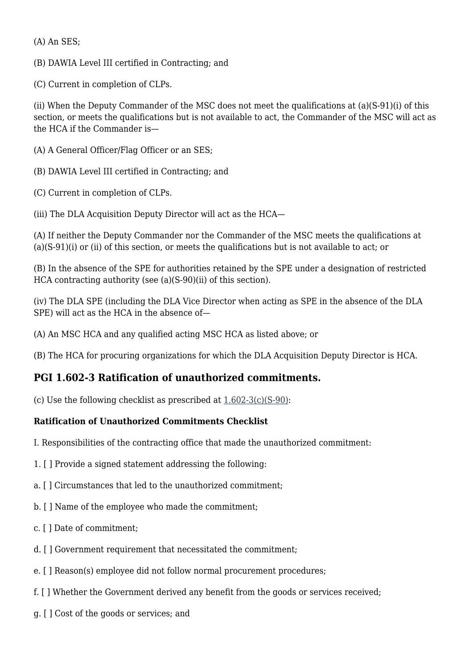(A) An SES;

(B) DAWIA Level III certified in Contracting; and

(C) Current in completion of CLPs.

(ii) When the Deputy Commander of the MSC does not meet the qualifications at (a)(S-91)(i) of this section, or meets the qualifications but is not available to act, the Commander of the MSC will act as the HCA if the Commander is—

(A) A General Officer/Flag Officer or an SES;

(B) DAWIA Level III certified in Contracting; and

(C) Current in completion of CLPs.

(iii) The DLA Acquisition Deputy Director will act as the HCA—

(A) If neither the Deputy Commander nor the Commander of the MSC meets the qualifications at (a)(S-91)(i) or (ii) of this section, or meets the qualifications but is not available to act; or

(B) In the absence of the SPE for authorities retained by the SPE under a designation of restricted HCA contracting authority (see (a)(S-90)(ii) of this section).

(iv) The DLA SPE (including the DLA Vice Director when acting as SPE in the absence of the DLA SPE) will act as the HCA in the absence of—

(A) An MSC HCA and any qualified acting MSC HCA as listed above; or

(B) The HCA for procuring organizations for which the DLA Acquisition Deputy Director is HCA.

## **PGI 1.602-3 Ratification of unauthorized commitments.**

(c) Use the following checklist as prescribed at [1.602-3\(c\)\(S-90\):](https://www.acquisition.gov/%5Brp:link:dlad-part-1%5D#P1_602_3_c_S90)

## **Ratification of Unauthorized Commitments Checklist**

I. Responsibilities of the contracting office that made the unauthorized commitment:

- 1. [ ] Provide a signed statement addressing the following:
- a. [ ] Circumstances that led to the unauthorized commitment;
- b. [ ] Name of the employee who made the commitment;
- c. [ ] Date of commitment;
- d. [ ] Government requirement that necessitated the commitment;
- e. [ ] Reason(s) employee did not follow normal procurement procedures;
- f. [ ] Whether the Government derived any benefit from the goods or services received;
- g. [ ] Cost of the goods or services; and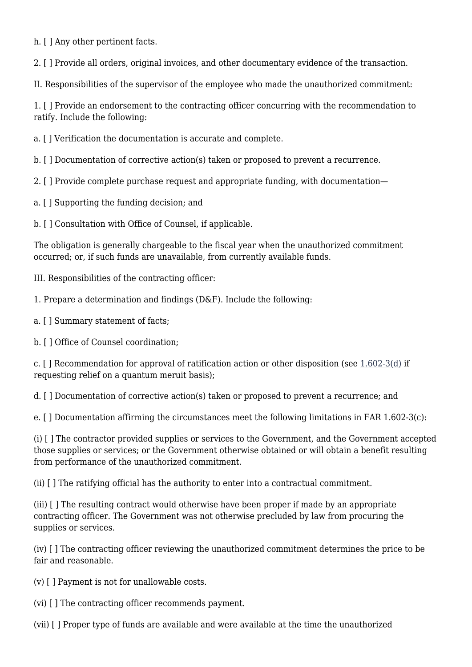h. [ ] Any other pertinent facts.

2. [ ] Provide all orders, original invoices, and other documentary evidence of the transaction.

II. Responsibilities of the supervisor of the employee who made the unauthorized commitment:

1. [ ] Provide an endorsement to the contracting officer concurring with the recommendation to ratify. Include the following:

a. [ ] Verification the documentation is accurate and complete.

b. [ ] Documentation of corrective action(s) taken or proposed to prevent a recurrence.

2. [ ] Provide complete purchase request and appropriate funding, with documentation—

a. [ ] Supporting the funding decision; and

b. [ ] Consultation with Office of Counsel, if applicable.

The obligation is generally chargeable to the fiscal year when the unauthorized commitment occurred; or, if such funds are unavailable, from currently available funds.

III. Responsibilities of the contracting officer:

1. Prepare a determination and findings (D&F). Include the following:

a. [ ] Summary statement of facts;

b. [ ] Office of Counsel coordination;

c. [ ] Recommendation for approval of ratification action or other disposition (see [1.602-3\(d\)](https://www.acquisition.gov/%5Brp:link:dlad-part-1%5D#P1_602_3_d) if requesting relief on a quantum meruit basis);

d. [ ] Documentation of corrective action(s) taken or proposed to prevent a recurrence; and

e. [ ] Documentation affirming the circumstances meet the following limitations in FAR 1.602-3(c):

(i) [ ] The contractor provided supplies or services to the Government, and the Government accepted those supplies or services; or the Government otherwise obtained or will obtain a benefit resulting from performance of the unauthorized commitment.

(ii) [ ] The ratifying official has the authority to enter into a contractual commitment.

(iii) [ ] The resulting contract would otherwise have been proper if made by an appropriate contracting officer. The Government was not otherwise precluded by law from procuring the supplies or services.

(iv) [ ] The contracting officer reviewing the unauthorized commitment determines the price to be fair and reasonable.

(v) [ ] Payment is not for unallowable costs.

(vi) [ ] The contracting officer recommends payment.

(vii) [ ] Proper type of funds are available and were available at the time the unauthorized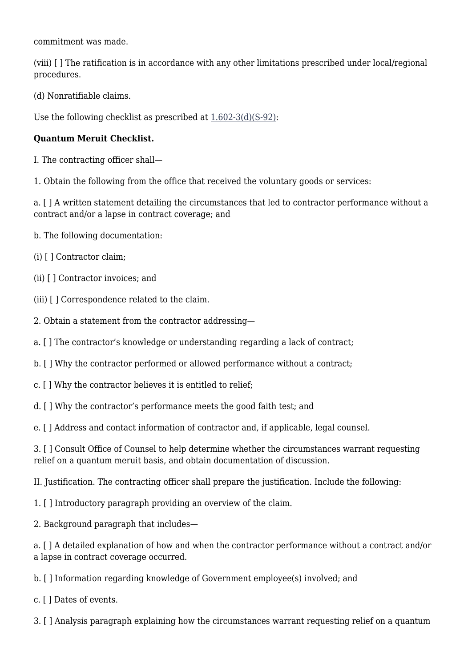commitment was made.

(viii) [ ] The ratification is in accordance with any other limitations prescribed under local/regional procedures.

(d) Nonratifiable claims.

Use the following checklist as prescribed at [1.602-3\(d\)\(S-92\)](https://www.acquisition.gov/%5Brp:link:dlad-part-1%5D#P1_602_3_d_S92):

### **Quantum Meruit Checklist.**

I. The contracting officer shall—

1. Obtain the following from the office that received the voluntary goods or services:

a. [ ] A written statement detailing the circumstances that led to contractor performance without a contract and/or a lapse in contract coverage; and

- b. The following documentation:
- (i) [ ] Contractor claim;
- (ii) [ ] Contractor invoices; and
- (iii) [ ] Correspondence related to the claim.
- 2. Obtain a statement from the contractor addressing—
- a. [ ] The contractor's knowledge or understanding regarding a lack of contract;
- b. [ ] Why the contractor performed or allowed performance without a contract;
- c. [ ] Why the contractor believes it is entitled to relief;
- d. [ ] Why the contractor's performance meets the good faith test; and

e. [ ] Address and contact information of contractor and, if applicable, legal counsel.

3. [ ] Consult Office of Counsel to help determine whether the circumstances warrant requesting relief on a quantum meruit basis, and obtain documentation of discussion.

II. Justification. The contracting officer shall prepare the justification. Include the following:

- 1. [ ] Introductory paragraph providing an overview of the claim.
- 2. Background paragraph that includes—

a. [ ] A detailed explanation of how and when the contractor performance without a contract and/or a lapse in contract coverage occurred.

- b. [ ] Information regarding knowledge of Government employee(s) involved; and
- c. [ ] Dates of events.

3. [ ] Analysis paragraph explaining how the circumstances warrant requesting relief on a quantum